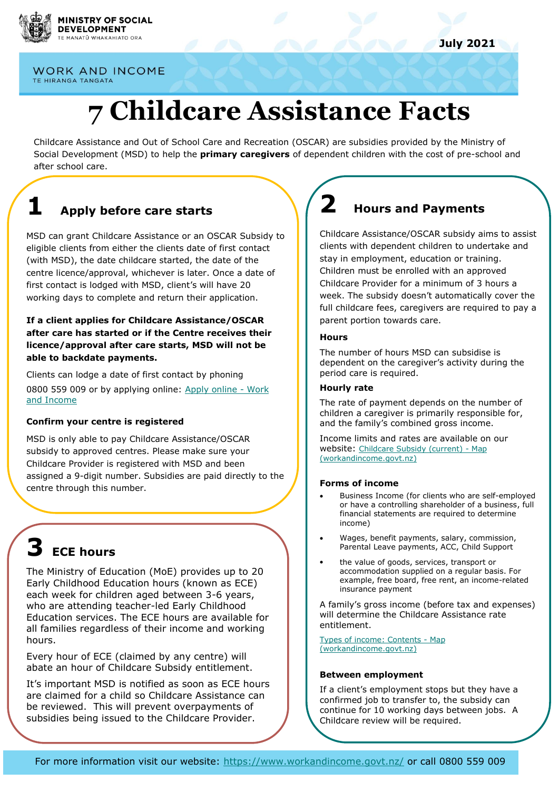

**WORK AND INCOME** TE HIRANGA TANGATA

# **7 Childcare Assistance Facts**

Childcare Assistance and Out of School Care and Recreation (OSCAR) are subsidies provided by the Ministry of Social Development (MSD) to help the **primary caregivers** of dependent children with the cost of pre-school and after school care.

## **1 Apply before care starts**

MSD can grant Childcare Assistance or an OSCAR Subsidy to eligible clients from either the clients date of first contact (with MSD), the date childcare started, the date of the centre licence/approval, whichever is later. Once a date of first contact is lodged with MSD, client's will have 20 working days to complete and return their application.

#### **If a client applies for Childcare Assistance/OSCAR after care has started or if the Centre receives their licence/approval after care starts, MSD will not be able to backdate payments.**

Clients can lodge a date of first contact by phoning 0800 559 009 or by applying online: [Apply online -](https://www.workandincome.govt.nz/online-services/apply/index.html) Work [and Income](https://www.workandincome.govt.nz/online-services/apply/index.html)

#### **Confirm your centre is registered**

MSD is only able to pay Childcare Assistance/OSCAR subsidy to approved centres. Please make sure your Childcare Provider is registered with MSD and been assigned a 9-digit number. Subsidies are paid directly to the centre through this number.

## **3 ECE hours**

The Ministry of Education (MoE) provides up to 20 Early Childhood Education hours (known as ECE) each week for children aged between 3-6 years, who are attending teacher-led Early Childhood Education services. The ECE hours are available for all families regardless of their income and working hours.

Every hour of ECE (claimed by any centre) will abate an hour of Childcare Subsidy entitlement.

It's important MSD is notified as soon as ECE hours are claimed for a child so Childcare Assistance can be reviewed. This will prevent overpayments of subsidies being issued to the Childcare Provider.

## **2 Hours and Payments**

Childcare Assistance/OSCAR subsidy aims to assist clients with dependent children to undertake and stay in employment, education or training. Children must be enrolled with an approved Childcare Provider for a minimum of 3 hours a week. The subsidy doesn't automatically cover the full childcare fees, caregivers are required to pay a parent portion towards care.

#### **Hours**

The number of hours MSD can subsidise is dependent on the caregiver's activity during the period care is required.

#### **Hourly rate**

The rate of payment depends on the number of children a caregiver is primarily responsible for, and the family's combined gross income.

Income limits and rates are available on our website: [Childcare Subsidy \(current\) -](https://www.workandincome.govt.nz/map/deskfile/extra-help-information/childcare-assistance-tables/childcare-subsidy-current.html) Map [\(workandincome.govt.nz\)](https://www.workandincome.govt.nz/map/deskfile/extra-help-information/childcare-assistance-tables/childcare-subsidy-current.html)

#### **Forms of income**

- Business Income (for clients who are self-employed or have a controlling shareholder of a business, full financial statements are required to determine income)
- Wages, benefit payments, salary, commission, Parental Leave payments, ACC, Child Support
- the value of goods, services, transport or accommodation supplied on a regular basis. For example, free board, free rent, an income-related insurance payment

A family's gross income (before tax and expenses) will determine the Childcare Assistance rate entitlement.

[Types of income:](https://www.workandincome.govt.nz/map/income-support/core-policy/income/types-of-income/index.html) Contents - Map [\(workandincome.govt.nz\)](https://www.workandincome.govt.nz/map/income-support/core-policy/income/types-of-income/index.html)

#### **Between employment**

If a client's employment stops but they have a confirmed job to transfer to, the subsidy can continue for 10 working days between jobs. A Childcare review will be required.